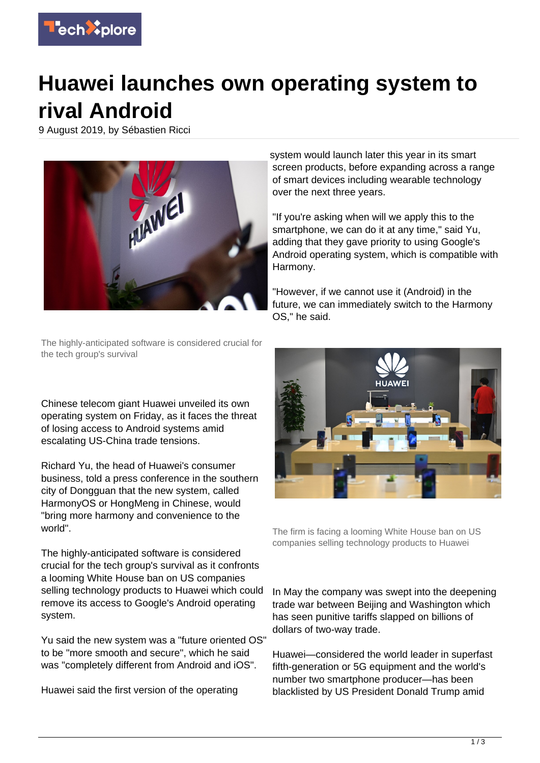

## **Huawei launches own operating system to rival Android**

9 August 2019, by Sébastien Ricci



The highly-anticipated software is considered crucial for the tech group's survival

Chinese telecom giant Huawei unveiled its own operating system on Friday, as it faces the threat of losing access to Android systems amid escalating US-China trade tensions.

Richard Yu, the head of Huawei's consumer business, told a press conference in the southern city of Dongguan that the new system, called HarmonyOS or HongMeng in Chinese, would "bring more harmony and convenience to the world".

The highly-anticipated software is considered crucial for the tech group's survival as it confronts a looming White House ban on US companies selling technology products to Huawei which could remove its access to Google's Android operating system.

Yu said the new system was a "future oriented OS" to be "more smooth and secure", which he said was "completely different from Android and iOS".

Huawei said the first version of the operating

system would launch later this year in its smart screen products, before expanding across a range of smart devices including wearable technology over the next three years.

"If you're asking when will we apply this to the smartphone, we can do it at any time," said Yu, adding that they gave priority to using Google's Android operating system, which is compatible with Harmony.

"However, if we cannot use it (Android) in the future, we can immediately switch to the Harmony OS," he said.



The firm is facing a looming White House ban on US companies selling technology products to Huawei

In May the company was swept into the deepening trade war between Beijing and Washington which has seen punitive tariffs slapped on billions of dollars of two-way trade.

Huawei—considered the world leader in superfast fifth-generation or 5G equipment and the world's number two smartphone producer—has been blacklisted by US President Donald Trump amid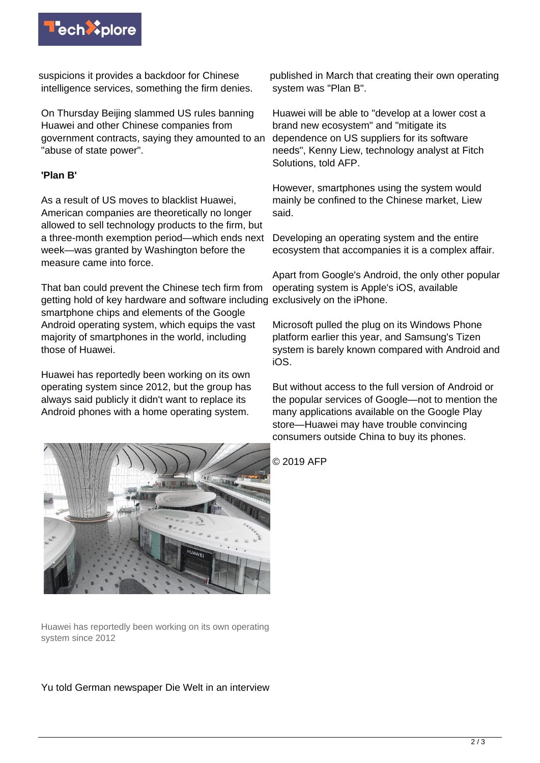

suspicions it provides a backdoor for Chinese intelligence services, something the firm denies.

On Thursday Beijing slammed US rules banning Huawei and other Chinese companies from government contracts, saying they amounted to an "abuse of state power".

## **'Plan B'**

As a result of US moves to blacklist Huawei, American companies are theoretically no longer allowed to sell technology products to the firm, but a three-month exemption period—which ends next week—was granted by Washington before the measure came into force.

That ban could prevent the Chinese tech firm from getting hold of key hardware and software including exclusively on the iPhone. smartphone chips and elements of the Google Android operating system, which equips the vast majority of smartphones in the world, including those of Huawei.

Huawei has reportedly been working on its own operating system since 2012, but the group has always said publicly it didn't want to replace its Android phones with a home operating system.



Huawei will be able to "develop at a lower cost a brand new ecosystem" and "mitigate its dependence on US suppliers for its software needs", Kenny Liew, technology analyst at Fitch Solutions, told AFP.

However, smartphones using the system would mainly be confined to the Chinese market, Liew said.

Developing an operating system and the entire ecosystem that accompanies it is a complex affair.

Apart from Google's Android, the only other popular operating system is Apple's iOS, available

Microsoft pulled the plug on its Windows Phone platform earlier this year, and Samsung's Tizen system is barely known compared with Android and iOS.

But without access to the full version of Android or the popular services of Google—not to mention the many applications available on the Google Play store—Huawei may have trouble convincing consumers outside China to buy its phones.





Huawei has reportedly been working on its own operating system since 2012

Yu told German newspaper Die Welt in an interview